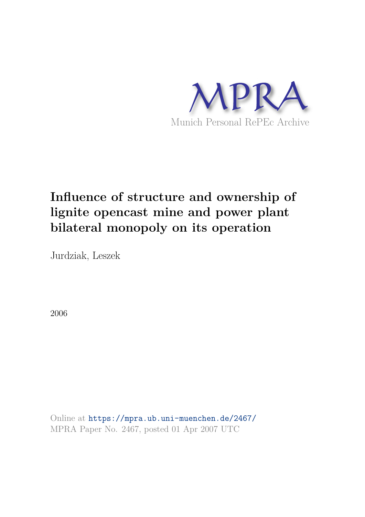

# **Influence of structure and ownership of lignite opencast mine and power plant bilateral monopoly on its operation**

Jurdziak, Leszek

2006

Online at https://mpra.ub.uni-muenchen.de/2467/ MPRA Paper No. 2467, posted 01 Apr 2007 UTC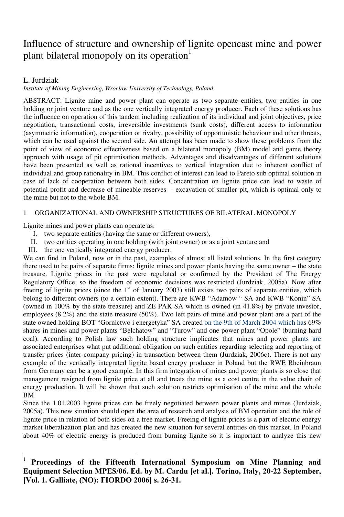# Influence of structure and ownership of lignite opencast mine and power plant bilateral monopoly on its operation<sup>1</sup>

## L. Jurdziak

 $\overline{a}$ 

#### *Institute of Mining Engineering, Wroclaw University of Technology, Poland*

ABSTRACT: Lignite mine and power plant can operate as two separate entities, two entities in one holding or joint venture and as the one vertically integrated energy producer. Each of these solutions has the influence on operation of this tandem including realization of its individual and joint objectives, price negotiation, transactional costs, irreversible investments (sunk costs), different access to information (asymmetric information), cooperation or rivalry, possibility of opportunistic behaviour and other threats, which can be used against the second side. An attempt has been made to show these problems from the point of view of economic effectiveness based on a bilateral monopoly (BM) model and game theory approach with usage of pit optimisation methods. Advantages and disadvantages of different solutions have been presented as well as rational incentives to vertical integration due to inherent conflict of individual and group rationality in BM. This conflict of interest can lead to Pareto sub optimal solution in case of lack of cooperation between both sides. Concentration on lignite price can lead to waste of potential profit and decrease of mineable reserves - excavation of smaller pit, which is optimal only to the mine but not to the whole BM.

#### 1 ORGANIZATIONAL AND OWNERSHIP STRUCTURES OF BILATERAL MONOPOLY

Lignite mines and power plants can operate as:

- I. two separate entities (having the same or different owners),
- II. two entities operating in one holding (with joint owner) or as a joint venture and
- III. the one vertically integrated energy producer.

We can find in Poland, now or in the past, examples of almost all listed solutions. In the first category there used to be pairs of separate firms: lignite mines and power plants having the same owner – the state treasure. Lignite prices in the past were regulated or confirmed by the President of The Energy Regulatory Office, so the freedom of economic decisions was restricted (Jurdziak, 2005a). Now after freeing of lignite prices (since the 1<sup>st</sup> of January 2003) still exists two pairs of separate entities, which belong to different owners (to a certain extent). There are KWB "Adamow " SA and KWB "Konin" SA (owned in 100% by the state treasure) and ZE PAK SA which is owned (in 41.8%) by private investor, employees (8.2%) and the state treasure (50%). Two left pairs of mine and power plant are a part of the state owned holding BOT "Gornictwo i energetyka" SA created on the 9th of March 2004 which has 69% shares in mines and power plants "Belchatow" and "Turow" and one power plant "Opole" (burning hard coal). According to Polish law such holding structure implicates that mines and power plants are associated enterprises what put additional obligation on such entities regarding selecting and reporting of transfer prices (inter-company pricing) in transaction between them (Jurdziak, 2006c). There is not any example of the vertically integrated lignite based energy producer in Poland but the RWE Rheinbraun from Germany can be a good example. In this firm integration of mines and power plants is so close that management resigned from lignite price at all and treats the mine as a cost centre in the value chain of energy production. It will be shown that such solution restricts optimisation of the mine and the whole BM.

Since the 1.01.2003 lignite prices can be freely negotiated between power plants and mines (Jurdziak, 2005a). This new situation should open the area of research and analysis of BM operation and the role of lignite price in relation of both sides on a free market. Freeing of lignite prices is a part of electric energy market liberalization plan and has created the new situation for several entities on this market. In Poland about 40% of electric energy is produced from burning lignite so it is important to analyze this new

<sup>1</sup> **Proceedings of the Fifteenth International Symposium on Mine Planning and Equipment Selection MPES/06. Ed. by M. Cardu [et al.]. Torino, Italy, 20-22 September, [Vol. 1. Galliate, (NO): FIORDO 2006] s. 26-31.**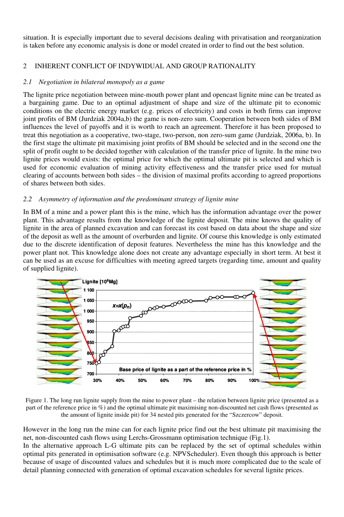situation. It is especially important due to several decisions dealing with privatisation and reorganization is taken before any economic analysis is done or model created in order to find out the best solution.

## 2 INHERENT CONFLICT OF INDYWIDUAL AND GROUP RATIONALITY

#### *2.1 Negotiation in bilateral monopoly as a game*

The lignite price negotiation between mine-mouth power plant and opencast lignite mine can be treated as a bargaining game. Due to an optimal adjustment of shape and size of the ultimate pit to economic conditions on the electric energy market (e.g. prices of electricity) and costs in both firms can improve joint profits of BM (Jurdziak 2004a,b) the game is non-zero sum. Cooperation between both sides of BM influences the level of payoffs and it is worth to reach an agreement. Therefore it has been proposed to treat this negotiation as a cooperative, two-stage, two-person, non zero-sum game (Jurdziak, 2006a, b). In the first stage the ultimate pit maximising joint profits of BM should be selected and in the second one the split of profit ought to be decided together with calculation of the transfer price of lignite. In the mine two lignite prices would exists: the optimal price for which the optimal ultimate pit is selected and which is used for economic evaluation of mining activity effectiveness and the transfer price used for mutual clearing of accounts between both sides – the division of maximal profits according to agreed proportions of shares between both sides.

#### *2.2 Asymmetry of information and the predominant strategy of lignite mine*

In BM of a mine and a power plant this is the mine, which has the information advantage over the power plant. This advantage results from the knowledge of the lignite deposit. The mine knows the quality of lignite in the area of planned excavation and can forecast its cost based on data about the shape and size of the deposit as well as the amount of overburden and lignite. Of course this knowledge is only estimated due to the discrete identification of deposit features. Nevertheless the mine has this knowledge and the power plant not. This knowledge alone does not create any advantage especially in short term. At best it can be used as an excuse for difficulties with meeting agreed targets (regarding time, amount and quality of supplied lignite).



Figure 1. The long run lignite supply from the mine to power plant – the relation between lignite price (presented as a part of the reference price in %) and the optimal ultimate pit maximising non-discounted net cash flows (presented as the amount of lignite inside pit) for 34 nested pits generated for the "Szczercow" deposit.

However in the long run the mine can for each lignite price find out the best ultimate pit maximising the net, non-discounted cash flows using Lerchs-Grossmann optimisation technique (Fig.1).

In the alternative approach L-G ultimate pits can be replaced by the set of optimal schedules within optimal pits generated in optimisation software (e.g. NPVScheduler). Even though this approach is better because of usage of discounted values and schedules but it is much more complicated due to the scale of detail planning connected with generation of optimal excavation schedules for several lignite prices.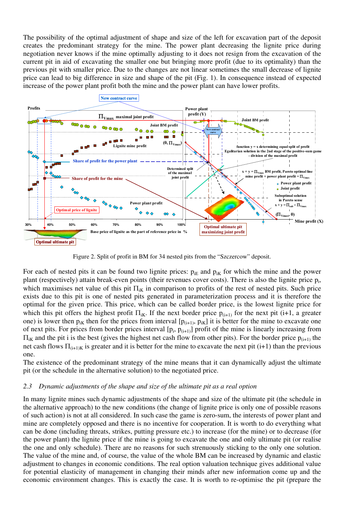The possibility of the optimal adjustment of shape and size of the left for excavation part of the deposit creates the predominant strategy for the mine. The power plant decreasing the lignite price during negotiation never knows if the mine optimally adjusting to it does not resign from the excavation of the current pit in aid of excavating the smaller one but bringing more profit (due to its optimality) than the previous pit with smaller price. Due to the changes are not linear sometimes the small decrease of lignite price can lead to big difference in size and shape of the pit (Fig. 1). In consequence instead of expected increase of the power plant profit both the mine and the power plant can have lower profits.



Figure 2. Split of profit in BM for 34 nested pits from the "Szczercow" deposit.

For each of nested pits it can be found two lignite prices:  $p_{IF}$  and  $p_{IK}$  for which the mine and the power plant (respectively) attain break-even points (their revenues cover costs). There is also the lignite price  $p_i$ , which maximises net value of this pit  $\Pi_{ik}$  in comparison to profits of the rest of nested pits. Such price exists due to this pit is one of nested pits generated in parameterization process and it is therefore the optimal for the given price. This price, which can be called border price, is the lowest lignite price for which this pit offers the highest profit  $\Pi_{ik}$ . If the next border price  $p_{(i+1)}$  for the next pit (i+1, a greater one) is lower then  $p_{ik}$  then for the prices from interval  $[p_{(i+1)}, p_{ik}]$  it is better for the mine to excavate one of next pits. For prices from border prices interval  $[p_i, p_{(i+1)}]$  profit of the mine is linearly increasing from  $\Pi_{ik}$  and the pit i is the best (gives the highest net cash flow from other pits). For the border price  $p_{(i+1)}$  the net cash flows  $\Pi_{(i+1)K}$  is greater and it is better for the mine to excavate the next pit (i+1) than the previous one.

The existence of the predominant strategy of the mine means that it can dynamically adjust the ultimate pit (or the schedule in the alternative solution) to the negotiated price.

#### *2.3 Dynamic adjustments of the shape and size of the ultimate pit as a real option*

In many lignite mines such dynamic adjustments of the shape and size of the ultimate pit (the schedule in the alternative approach) to the new conditions (the change of lignite price is only one of possible reasons of such action) is not at all considered. In such case the game is zero-sum, the interests of power plant and mine are completely opposed and there is no incentive for cooperation. It is worth to do everything what can be done (including threats, strikes, putting pressure etc.) to increase (for the mine) or to decrease (for the power plant) the lignite price if the mine is going to excavate the one and only ultimate pit (or realise the one and only schedule). There are no reasons for such strenuously sticking to the only one solution. The value of the mine and, of course, the value of the whole BM can be increased by dynamic and elastic adjustment to changes in economic conditions. The real option valuation technique gives additional value for potential elasticity of management in changing their minds after new information come up and the economic environment changes. This is exactly the case. It is worth to re-optimise the pit (prepare the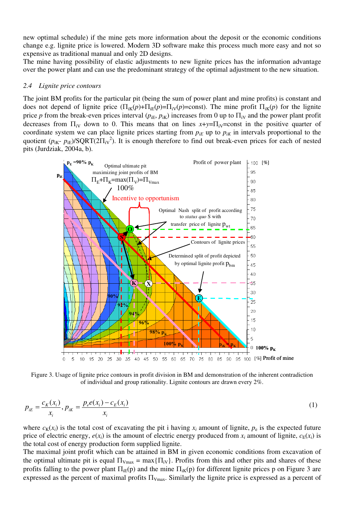new optimal schedule) if the mine gets more information about the deposit or the economic conditions change e.g. lignite price is lowered. Modern 3D software make this process much more easy and not so expensive as traditional manual and only 2D designs.

The mine having possibility of elastic adjustments to new lignite prices has the information advantage over the power plant and can use the predominant strategy of the optimal adjustment to the new situation.

#### *2.4 Lignite price contours*

The joint BM profits for the particular pit (being the sum of power plant and mine profits) is constant and does not depend of lignite price  $(\Pi_{iK}(p)+\Pi_{iE}(p)=\Pi_{iV}(p)=\text{const})$ . The mine profit  $\Pi_{iK}(p)$  for the lignite price *p* from the break-even prices interval  $(p_{iE}, p_{iK})$  increases from 0 up to  $\Pi_{iV}$  and the power plant profit decreases from  $\Pi_{iV}$  down to 0. This means that on lines  $x+y=\Pi_{iV}$ =const in the positive quarter of coordinate system we can place lignite prices starting from  $p_{iE}$  up to  $p_{iK}$  in intervals proportional to the quotient ( $p_{ik}$ -  $p_{iE}$ )/SQRT(2Π<sub>iV</sub><sup>2</sup>). It is enough therefore to find out break-even prices for each of nested pits (Jurdziak, 2004a, b).



Figure 3. Usage of lignite price contours in profit division in BM and demonstration of the inherent contradiction of individual and group rationality. Lignite contours are drawn every 2%.

$$
p_{iE} = \frac{c_K(x_i)}{x_i}, p_{iK} = \frac{p_e e(x_i) - c_E(x_i)}{x_i}
$$
 (1)

where  $c_K(x_i)$  is the total cost of excavating the pit i having  $x_i$  amount of lignite,  $p_e$  is the expected future price of electric energy,  $e(x_i)$  is the amount of electric energy produced from  $x_i$  amount of lignite,  $c_E(x_i)$  is the total cost of energy production form supplied lignite.

The maximal joint profit which can be attained in BM in given economic conditions from excavation of the optimal ultimate pit is equal  $\Pi_{Vmax} = max\{\Pi_{iV}\}\$ . Profits from this and other pits and shares of these profits falling to the power plant  $\Pi_{iE}(p)$  and the mine  $\Pi_{iE}(p)$  for different lignite prices p on Figure 3 are expressed as the percent of maximal profits  $\Pi_{V_{\text{max}}}$ . Similarly the lignite price is expressed as a percent of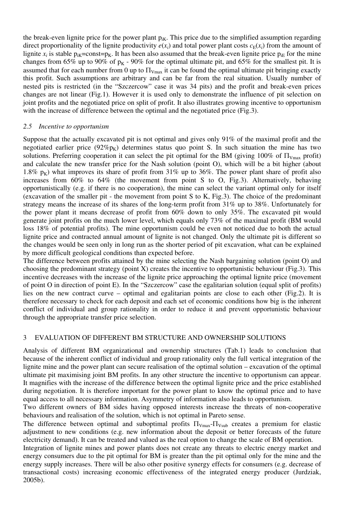the break-even lignite price for the power plant  $p_{ik}$ . This price due to the simplified assumption regarding direct proportionality of the lignite productivity  $e(x_i)$  and total power plant costs  $c_E(x_i)$  from the amount of lignite  $x_i$  is stable  $p_{ik}=const=p_K$ . It has been also assumed that the break-even lignite price  $p_{iE}$  for the mine changes from 65% up to 90% of  $p<sub>K</sub>$  - 90% for the optimal ultimate pit, and 65% for the smallest pit. It is assumed that for each number from 0 up to  $\Pi_{V_{\text{max}}}$  it can be found the optimal ultimate pit bringing exactly this profit. Such assumptions are arbitrary and can be far from the real situation. Usually number of nested pits is restricted (in the "Szczercow" case it was 34 pits) and the profit and break-even prices changes are not linear (Fig.1). However it is used only to demonstrate the influence of pit selection on joint profits and the negotiated price on split of profit. It also illustrates growing incentive to opportunism with the increase of difference between the optimal and the negotiated price (Fig.3).

#### *2.5 Incentive to opportunism*

Suppose that the actually excavated pit is not optimal and gives only 91% of the maximal profit and the negotiated earlier price  $(92\%p_{K})$  determines status quo point S. In such situation the mine has two solutions. Preferring cooperation it can select the pit optimal for the BM (giving 100% of  $\Pi_{V_{\text{max}}}$  profit) and calculate the new transfer price for the Nash solution (point O), which will be a bit higher (about 1.8%  $p_k$ ) what improves its share of profit from 31% up to 36%. The power plant share of profit also increases from 60% to 64% (the movement from point S to O, Fig.3). Alternatively, behaving opportunistically (e.g. if there is no cooperation), the mine can select the variant optimal only for itself (excavation of the smaller pit - the movement from point S to K, Fig.3). The choice of the predominant strategy means the increase of its shares of the long-term profit from 31% up to 38%. Unfortunately for the power plant it means decrease of profit from 60% down to only 35%. The excavated pit would generate joint profits on the much lower level, which equals only 73% of the maximal profit (BM would loss 18% of potential profits). The mine opportunism could be even not noticed due to both the actual lignite price and contracted annual amount of lignite is not changed. Only the ultimate pit is different so the changes would be seen only in long run as the shorter period of pit excavation, what can be explained by more difficult geological conditions than expected before.

The difference between profits attained by the mine selecting the Nash bargaining solution (point O) and choosing the predominant strategy (point X) creates the incentive to opportunistic behaviour (Fig.3). This incentive decreases with the increase of the lignite price approaching the optimal lignite price (movement of point O in direction of point E). In the "Szczercow" case the egalitarian solution (equal split of profits) lies on the new contract curve – optimal and egalitarian points are close to each other (Fig.2). It is therefore necessary to check for each deposit and each set of economic conditions how big is the inherent conflict of individual and group rationality in order to reduce it and prevent opportunistic behaviour through the appropriate transfer price selection.

#### 3 EVALUATION OF DIFFERENT BM STRUCTURE AND OWNERSHIP SOLUTIONS

Analysis of different BM organizational and ownership structures (Tab.1) leads to conclusion that because of the inherent conflict of individual and group rationality only the full vertical integration of the lignite mine and the power plant can secure realisation of the optimal solution – excavation of the optimal ultimate pit maximising joint BM profits. In any other structure the incentive to opportunism can appear. It magnifies with the increase of the difference between the optimal lignite price and the price established during negotiation. It is therefore important for the power plant to know the optimal price and to have equal access to all necessary information. Asymmetry of information also leads to opportunism.

Two different owners of BM sides having opposed interests increase the threats of non-cooperative behaviours and realisation of the solution, which is not optimal in Pareto sense.

The difference between optimal and suboptimal profits  $\Pi_{Vmn}$  $\Pi_{Vmn}$  creates a premium for elastic adjustment to new conditions (e.g. new information about the deposit or better forecasts of the future electricity demand). It can be treated and valued as the real option to change the scale of BM operation.

Integration of lignite mines and power plants does not create any threats to electric energy market and energy consumers due to the pit optimal for BM is greater than the pit optimal only for the mine and the energy supply increases. There will be also other positive synergy effects for consumers (e.g. decrease of transactional costs) increasing economic effectiveness of the integrated energy producer (Jurdziak, 2005b).